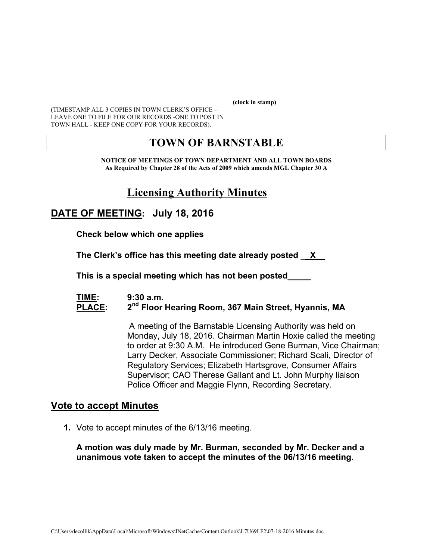**(clock in stamp)** 

(TIMESTAMP ALL 3 COPIES IN TOWN CLERK'S OFFICE – LEAVE ONE TO FILE FOR OUR RECORDS -ONE TO POST IN TOWN HALL - KEEP ONE COPY FOR YOUR RECORDS).

# **TOWN OF BARNSTABLE**

**NOTICE OF MEETINGS OF TOWN DEPARTMENT AND ALL TOWN BOARDS As Required by Chapter 28 of the Acts of 2009 which amends MGL Chapter 30 A** 

# **Licensing Authority Minutes**

# **DATE OF MEETING: July 18, 2016**

**Check below which one applies** 

**The Clerk's office has this meeting date already posted \_\_X\_\_** 

 **This is a special meeting which has not been posted\_\_\_\_\_** 

#### **TIME: 9:30 a.m.**  PLACE: 2<sup>nd</sup> Floor Hearing Room, 367 Main Street, Hyannis, MA

A meeting of the Barnstable Licensing Authority was held on Monday, July 18, 2016. Chairman Martin Hoxie called the meeting to order at 9:30 A.M. He introduced Gene Burman, Vice Chairman; Larry Decker, Associate Commissioner; Richard Scali, Director of Regulatory Services; Elizabeth Hartsgrove, Consumer Affairs Supervisor; CAO Therese Gallant and Lt. John Murphy liaison Police Officer and Maggie Flynn, Recording Secretary.

## **Vote to accept Minutes**

**1.** Vote to accept minutes of the 6/13/16 meeting.

#### **A motion was duly made by Mr. Burman, seconded by Mr. Decker and a unanimous vote taken to accept the minutes of the 06/13/16 meeting.**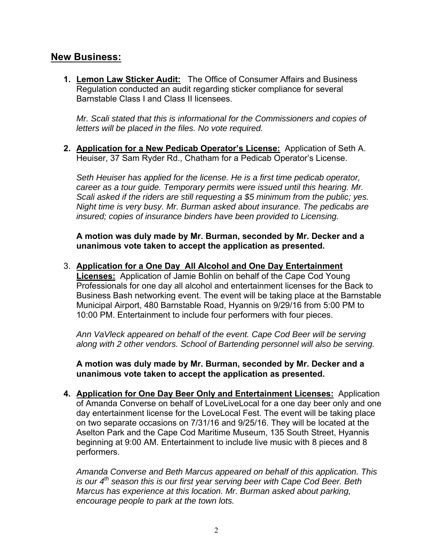## **New Business:**

**1. Lemon Law Sticker Audit:** The Office of Consumer Affairs and Business Regulation conducted an audit regarding sticker compliance for several Barnstable Class I and Class II licensees.

*Mr. Scali stated that this is informational for the Commissioners and copies of letters will be placed in the files. No vote required.* 

**2. Application for a New Pedicab Operator's License:** Application of Seth A. Heuiser, 37 Sam Ryder Rd., Chatham for a Pedicab Operator's License.

*Seth Heuiser has applied for the license. He is a first time pedicab operator, career as a tour guide. Temporary permits were issued until this hearing. Mr. Scali asked if the riders are still requesting a \$5 minimum from the public; yes. Night time is very busy. Mr. Burman asked about insurance. The pedicabs are insured; copies of insurance binders have been provided to Licensing.* 

**A motion was duly made by Mr. Burman, seconded by Mr. Decker and a unanimous vote taken to accept the application as presented.** 

#### 3. **Application for a One Day All Alcohol and One Day Entertainment**

**Licenses:** Application of Jamie Bohlin on behalf of the Cape Cod Young Professionals for one day all alcohol and entertainment licenses for the Back to Business Bash networking event. The event will be taking place at the Barnstable Municipal Airport, 480 Barnstable Road, Hyannis on 9/29/16 from 5:00 PM to 10:00 PM. Entertainment to include four performers with four pieces.

*Ann VaVleck appeared on behalf of the event. Cape Cod Beer will be serving along with 2 other vendors. School of Bartending personnel will also be serving.* 

**A motion was duly made by Mr. Burman, seconded by Mr. Decker and a unanimous vote taken to accept the application as presented.** 

**4. Application for One Day Beer Only and Entertainment Licenses:** Application of Amanda Converse on behalf of LoveLiveLocal for a one day beer only and one day entertainment license for the LoveLocal Fest. The event will be taking place on two separate occasions on 7/31/16 and 9/25/16. They will be located at the Aselton Park and the Cape Cod Maritime Museum, 135 South Street, Hyannis beginning at 9:00 AM. Entertainment to include live music with 8 pieces and 8 performers.

*Amanda Converse and Beth Marcus appeared on behalf of this application. This is our 4<sup>th</sup> season this is our first year serving beer with Cape Cod Beer. Beth Marcus has experience at this location. Mr. Burman asked about parking, encourage people to park at the town lots.*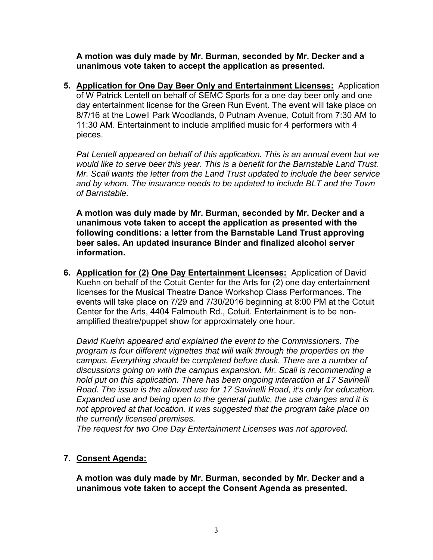**A motion was duly made by Mr. Burman, seconded by Mr. Decker and a unanimous vote taken to accept the application as presented.** 

**5. Application for One Day Beer Only and Entertainment Licenses:** Application of W Patrick Lentell on behalf of SEMC Sports for a one day beer only and one day entertainment license for the Green Run Event. The event will take place on 8/7/16 at the Lowell Park Woodlands, 0 Putnam Avenue, Cotuit from 7:30 AM to 11:30 AM. Entertainment to include amplified music for 4 performers with 4 pieces.

*Pat Lentell appeared on behalf of this application. This is an annual event but we would like to serve beer this year. This is a benefit for the Barnstable Land Trust. Mr. Scali wants the letter from the Land Trust updated to include the beer service and by whom. The insurance needs to be updated to include BLT and the Town of Barnstable.* 

**A motion was duly made by Mr. Burman, seconded by Mr. Decker and a unanimous vote taken to accept the application as presented with the following conditions: a letter from the Barnstable Land Trust approving beer sales. An updated insurance Binder and finalized alcohol server information.** 

**6. Application for (2) One Day Entertainment Licenses:** Application of David Kuehn on behalf of the Cotuit Center for the Arts for (2) one day entertainment licenses for the Musical Theatre Dance Workshop Class Performances. The events will take place on 7/29 and 7/30/2016 beginning at 8:00 PM at the Cotuit Center for the Arts, 4404 Falmouth Rd., Cotuit. Entertainment is to be nonamplified theatre/puppet show for approximately one hour.

*David Kuehn appeared and explained the event to the Commissioners. The program is four different vignettes that will walk through the properties on the campus. Everything should be completed before dusk. There are a number of discussions going on with the campus expansion. Mr. Scali is recommending a hold put on this application. There has been ongoing interaction at 17 Savinelli Road. The issue is the allowed use for 17 Savinelli Road, it's only for education. Expanded use and being open to the general public, the use changes and it is not approved at that location. It was suggested that the program take place on the currently licensed premises.* 

*The request for two One Day Entertainment Licenses was not approved.* 

#### **7. Consent Agenda:**

**A motion was duly made by Mr. Burman, seconded by Mr. Decker and a unanimous vote taken to accept the Consent Agenda as presented.**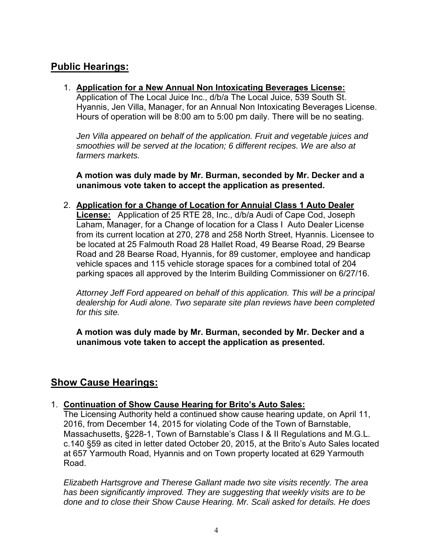## **Public Hearings:**

#### 1. **Application for a New Annual Non Intoxicating Beverages License:**

Application of The Local Juice Inc., d/b/a The Local Juice, 539 South St. Hyannis, Jen Villa, Manager, for an Annual Non Intoxicating Beverages License. Hours of operation will be 8:00 am to 5:00 pm daily. There will be no seating.

Jen Villa appeared on behalf of the application. Fruit and vegetable juices and *smoothies will be served at the location; 6 different recipes. We are also at farmers markets.* 

**A motion was duly made by Mr. Burman, seconded by Mr. Decker and a unanimous vote taken to accept the application as presented.**

2. **Application for a Change of Location for Annuial Class 1 Auto Dealer License:** Application of 25 RTE 28, Inc., d/b/a Audi of Cape Cod, Joseph Laham, Manager, for a Change of location for a Class I Auto Dealer License from its current location at 270, 278 and 258 North Street, Hyannis. Licensee to be located at 25 Falmouth Road 28 Hallet Road, 49 Bearse Road, 29 Bearse Road and 28 Bearse Road, Hyannis, for 89 customer, employee and handicap vehicle spaces and 115 vehicle storage spaces for a combined total of 204 parking spaces all approved by the Interim Building Commissioner on 6/27/16.

*Attorney Jeff Ford appeared on behalf of this application. This will be a principal dealership for Audi alone. Two separate site plan reviews have been completed for this site.* 

**A motion was duly made by Mr. Burman, seconded by Mr. Decker and a unanimous vote taken to accept the application as presented.** 

# **Show Cause Hearings:**

#### 1. **Continuation of Show Cause Hearing for Brito's Auto Sales:**

The Licensing Authority held a continued show cause hearing update, on April 11, 2016, from December 14, 2015 for violating Code of the Town of Barnstable, Massachusetts, §228-1, Town of Barnstable's Class I & II Regulations and M.G.L. c.140 §59 as cited in letter dated October 20, 2015, at the Brito's Auto Sales located at 657 Yarmouth Road, Hyannis and on Town property located at 629 Yarmouth Road.

*Elizabeth Hartsgrove and Therese Gallant made two site visits recently. The area has been significantly improved. They are suggesting that weekly visits are to be done and to close their Show Cause Hearing. Mr. Scali asked for details. He does*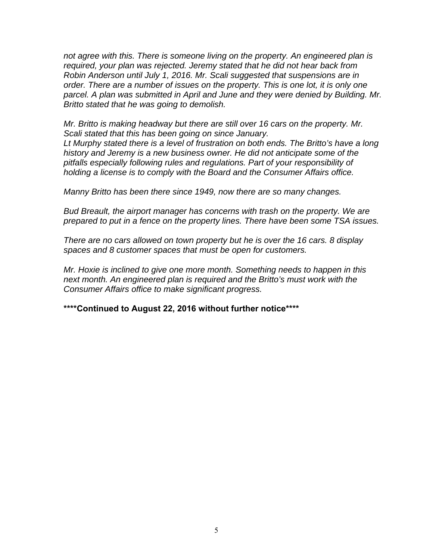*not agree with this. There is someone living on the property. An engineered plan is required, your plan was rejected. Jeremy stated that he did not hear back from Robin Anderson until July 1, 2016. Mr. Scali suggested that suspensions are in order. There are a number of issues on the property. This is one lot, it is only one*  parcel. A plan was submitted in April and June and they were denied by Building. Mr. *Britto stated that he was going to demolish.* 

*Mr. Britto is making headway but there are still over 16 cars on the property. Mr. Scali stated that this has been going on since January. Lt Murphy stated there is a level of frustration on both ends. The Britto's have a long history and Jeremy is a new business owner. He did not anticipate some of the pitfalls especially following rules and regulations. Part of your responsibility of holding a license is to comply with the Board and the Consumer Affairs office.* 

*Manny Britto has been there since 1949, now there are so many changes.* 

*Bud Breault, the airport manager has concerns with trash on the property. We are prepared to put in a fence on the property lines. There have been some TSA issues.* 

*There are no cars allowed on town property but he is over the 16 cars. 8 display spaces and 8 customer spaces that must be open for customers.* 

*Mr. Hoxie is inclined to give one more month. Something needs to happen in this next month. An engineered plan is required and the Britto's must work with the Consumer Affairs office to make significant progress.* 

**\*\*\*\*Continued to August 22, 2016 without further notice\*\*\*\***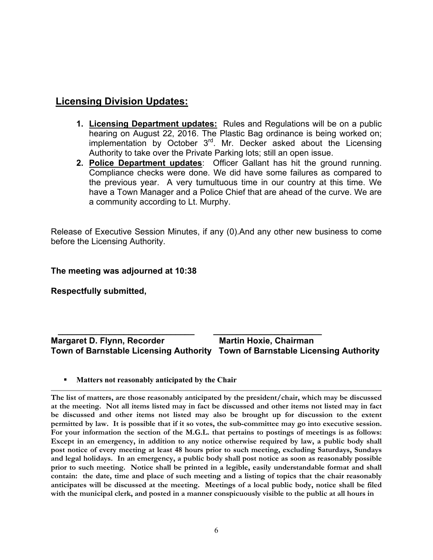## **Licensing Division Updates:**

- **1. Licensing Department updates:** Rules and Regulations will be on a public hearing on August 22, 2016. The Plastic Bag ordinance is being worked on; implementation by October 3rd. Mr. Decker asked about the Licensing Authority to take over the Private Parking lots; still an open issue.
- **2. Police Department updates**: Officer Gallant has hit the ground running. Compliance checks were done. We did have some failures as compared to the previous year. A very tumultuous time in our country at this time. We have a Town Manager and a Police Chief that are ahead of the curve. We are a community according to Lt. Murphy.

Release of Executive Session Minutes, if any (0).And any other new business to come before the Licensing Authority.

#### **The meeting was adjourned at 10:38**

**Respectfully submitted,** 

#### **\_\_\_\_\_\_\_\_\_\_\_\_\_\_\_\_\_\_\_\_\_\_\_\_\_\_\_\_\_ \_\_\_\_\_\_\_\_\_\_\_\_\_\_\_\_\_\_\_\_\_\_\_ Margaret D. Flynn, Recorder Martin Hoxie, Chairman Town of Barnstable Licensing Authority Town of Barnstable Licensing Authority**

**Matters not reasonably anticipated by the Chair** 

**The list of matters, are those reasonably anticipated by the president/chair, which may be discussed at the meeting. Not all items listed may in fact be discussed and other items not listed may in fact be discussed and other items not listed may also be brought up for discussion to the extent permitted by law. It is possible that if it so votes, the sub-committee may go into executive session. For your information the section of the M.G.L. that pertains to postings of meetings is as follows: Except in an emergency, in addition to any notice otherwise required by law, a public body shall post notice of every meeting at least 48 hours prior to such meeting, excluding Saturdays, Sundays and legal holidays. In an emergency, a public body shall post notice as soon as reasonably possible prior to such meeting. Notice shall be printed in a legible, easily understandable format and shall contain: the date, time and place of such meeting and a listing of topics that the chair reasonably anticipates will be discussed at the meeting. Meetings of a local public body, notice shall be filed with the municipal clerk, and posted in a manner conspicuously visible to the public at all hours in**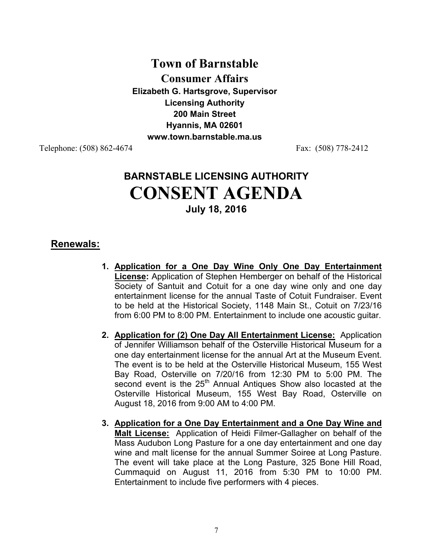# **Town of Barnstable Consumer Affairs Elizabeth G. Hartsgrove, Supervisor Licensing Authority 200 Main Street Hyannis, MA 02601 www.town.barnstable.ma.us**

Telephone: (508) 862-4674 Fax: (508) 778-2412

# **BARNSTABLE LICENSING AUTHORITY CONSENT AGENDA July 18, 2016**

## **Renewals:**

- **1. Application for a One Day Wine Only One Day Entertainment License:** Application of Stephen Hemberger on behalf of the Historical Society of Santuit and Cotuit for a one day wine only and one day entertainment license for the annual Taste of Cotuit Fundraiser. Event to be held at the Historical Society, 1148 Main St., Cotuit on 7/23/16 from 6:00 PM to 8:00 PM. Entertainment to include one acoustic guitar.
- **2. Application for (2) One Day All Entertainment License:** Application of Jennifer Williamson behalf of the Osterville Historical Museum for a one day entertainment license for the annual Art at the Museum Event. The event is to be held at the Osterville Historical Museum, 155 West Bay Road, Osterville on 7/20/16 from 12:30 PM to 5:00 PM. The second event is the 25<sup>th</sup> Annual Antiques Show also locasted at the Osterville Historical Museum, 155 West Bay Road, Osterville on August 18, 2016 from 9:00 AM to 4:00 PM.
- **3. Application for a One Day Entertainment and a One Day Wine and Malt License:** Application of Heidi Filmer-Gallagher on behalf of the Mass Audubon Long Pasture for a one day entertainment and one day wine and malt license for the annual Summer Soiree at Long Pasture. The event will take place at the Long Pasture, 325 Bone Hill Road, Cummaquid on August 11, 2016 from 5:30 PM to 10:00 PM. Entertainment to include five performers with 4 pieces.